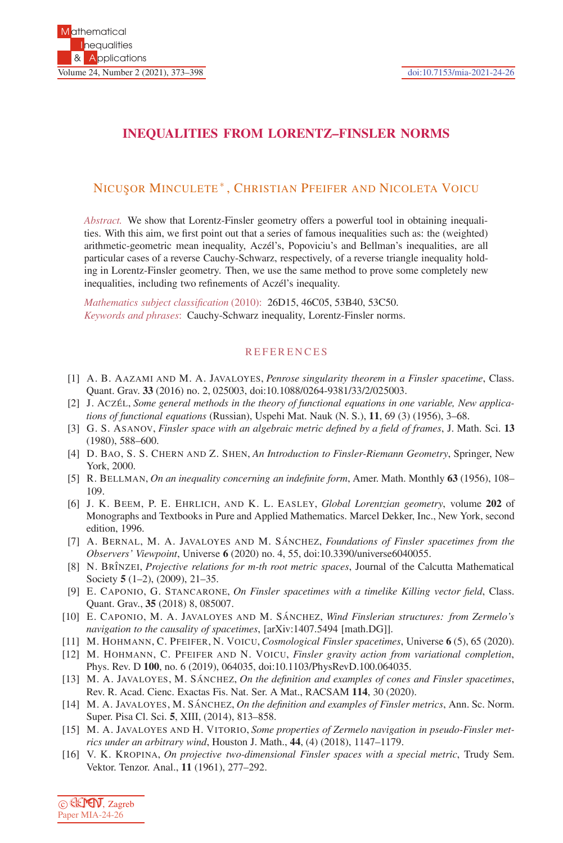## **INEQUALITIES FROM LORENTZ–FINSLER NORMS**

## NICUS¸OR MINCULETE ∗ , CHRISTIAN PFEIFER AND NICOLETA VOICU

*Abstract.* We show that Lorentz-Finsler geometry offers a powerful tool in obtaining inequalities. With this aim, we first point out that a series of famous inequalities such as: the (weighted) arithmetic-geometric mean inequality, Aczél's, Popoviciu's and Bellman's inequalities, are all particular cases of a reverse Cauchy-Schwarz, respectively, of a reverse triangle inequality holding in Lorentz-Finsler geometry. Then, we use the same method to prove some completely new inequalities, including two refinements of Aczél's inequality.

*Mathematics subject classification* (2010): 26D15, 46C05, 53B40, 53C50. *Keywords and phrases*: Cauchy-Schwarz inequality, Lorentz-Finsler norms.

## **REFERENCES**

- [1] A. B. AAZAMI AND M. A. JAVALOYES, *Penrose singularity theorem in a Finsler spacetime*, Class. Quant. Grav. **33** (2016) no. 2, 025003, doi:10.1088/0264-9381/33/2/025003.
- [2] J. ACZÉL, *Some general methods in the theory of functional equations in one variable, New applications of functional equations* (Russian), Uspehi Mat. Nauk (N. S.), **11**, 69 (3) (1956), 3–68.
- [3] G. S. ASANOV, *Finsler space with an algebraic metric defined by a field of frames*, J. Math. Sci. **13** (1980), 588–600.
- [4] D. BAO, S. S. CHERN AND Z. SHEN, *An Introduction to Finsler-Riemann Geometry*, Springer, New York, 2000.
- [5] R. BELLMAN, *On an inequality concerning an indefinite form*, Amer. Math. Monthly **63** (1956), 108– 109.
- [6] J. K. BEEM, P. E. EHRLICH, AND K. L. EASLEY, *Global Lorentzian geometry*, volume **202** of Monographs and Textbooks in Pure and Applied Mathematics. Marcel Dekker, Inc., New York, second edition, 1996.
- [7] A. BERNAL, M. A. JAVALOYES AND M. SANCHEZ, *Foundations of Finsler spacetimes from the Observers' Viewpoint*, Universe **6** (2020) no. 4, 55, doi:10.3390/universe6040055.
- [8] N. BRˆINZEI, *Projective relations for m-th root metric spaces*, Journal of the Calcutta Mathematical Society **5** (1–2), (2009), 21–35.
- [9] E. CAPONIO, G. STANCARONE, *On Finsler spacetimes with a timelike Killing vector field*, Class. Quant. Grav., **35** (2018) 8, 085007.
- [10] E. CAPONIO, M. A. JAVALOYES AND M. SÁNCHEZ, *Wind Finslerian structures: from Zermelo's navigation to the causality of spacetimes*, [arXiv:1407.5494 [math.DG]].
- [11] M. HOHMANN, C. PFEIFER, N. VOICU, *Cosmological Finsler spacetimes*, Universe **6** (5), 65 (2020).
- [12] M. HOHMANN, C. PFEIFER AND N. VOICU, *Finsler gravity action from variational completion*, Phys. Rev. D **100**, no. 6 (2019), 064035, doi:10.1103/PhysRevD.100.064035.
- [13] M. A. JAVALOYES, M. SÁNCHEZ, *On the definition and examples of cones and Finsler spacetimes*, Rev. R. Acad. Cienc. Exactas Fis. Nat. Ser. A Mat., RACSAM **114**, 30 (2020).
- [14] M. A. JAVALOYES, M. SÁNCHEZ, *On the definition and examples of Finsler metrics*, Ann. Sc. Norm. Super. Pisa Cl. Sci. **5**, XIII, (2014), 813–858.
- [15] M. A. JAVALOYES AND H. VITORIO, *Some properties of Zermelo navigation in pseudo-Finsler metrics under an arbitrary wind*, Houston J. Math., **44**, (4) (2018), 1147–1179.
- [16] V. K. KROPINA, *On projective two-dimensional Finsler spaces with a special metric*, Trudy Sem. Vektor. Tenzor. Anal., **11** (1961), 277–292.